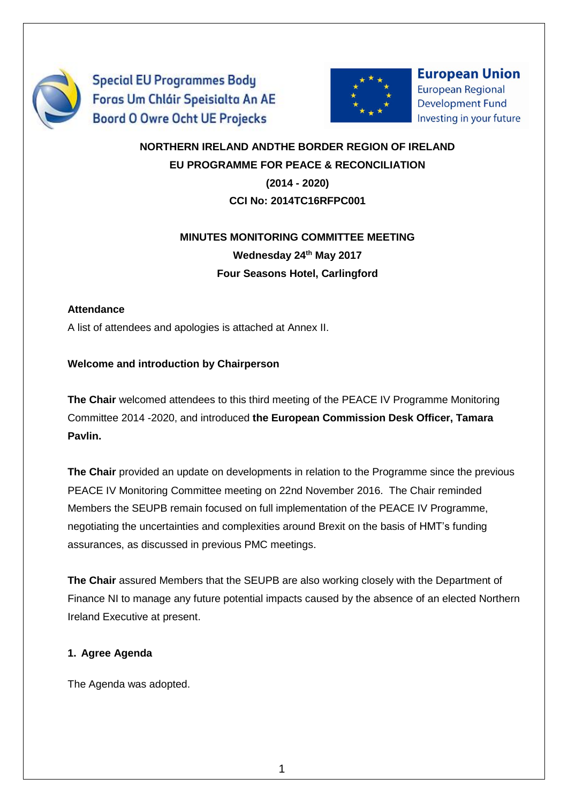

**Special EU Programmes Body** Foras Um Chláir Speisialta An AE **Boord O Owre Ocht UE Projecks** 



**European Union European Regional Development Fund** Investing in your future

# **NORTHERN IRELAND ANDTHE BORDER REGION OF IRELAND EU PROGRAMME FOR PEACE & RECONCILIATION (2014 - 2020) CCI No: 2014TC16RFPC001**

# **MINUTES MONITORING COMMITTEE MEETING Wednesday 24th May 2017 Four Seasons Hotel, Carlingford**

#### **Attendance**

A list of attendees and apologies is attached at Annex II.

#### **Welcome and introduction by Chairperson**

**The Chair** welcomed attendees to this third meeting of the PEACE IV Programme Monitoring Committee 2014 -2020, and introduced **the European Commission Desk Officer, Tamara Pavlin.**

**The Chair** provided an update on developments in relation to the Programme since the previous PEACE IV Monitoring Committee meeting on 22nd November 2016. The Chair reminded Members the SEUPB remain focused on full implementation of the PEACE IV Programme, negotiating the uncertainties and complexities around Brexit on the basis of HMT's funding assurances, as discussed in previous PMC meetings.

**The Chair** assured Members that the SEUPB are also working closely with the Department of Finance NI to manage any future potential impacts caused by the absence of an elected Northern Ireland Executive at present.

#### **1. Agree Agenda**

The Agenda was adopted.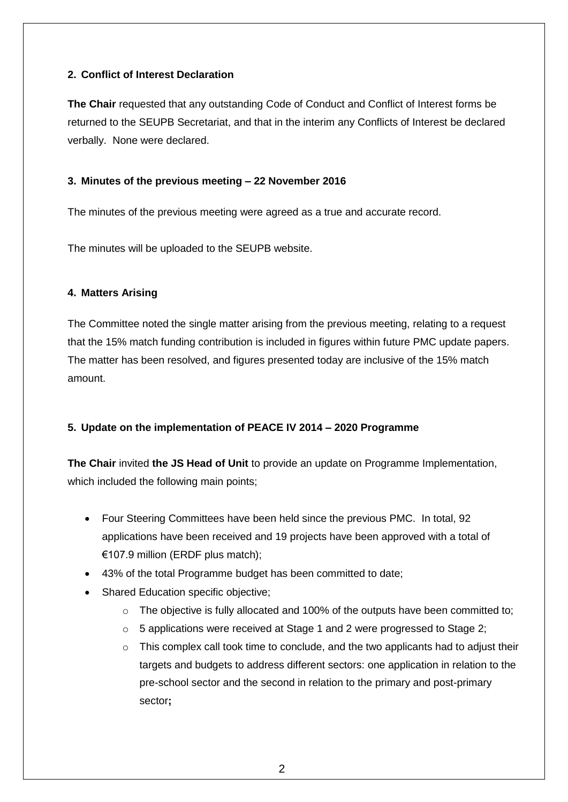#### **2. Conflict of Interest Declaration**

**The Chair** requested that any outstanding Code of Conduct and Conflict of Interest forms be returned to the SEUPB Secretariat, and that in the interim any Conflicts of Interest be declared verbally. None were declared.

#### **3. Minutes of the previous meeting – 22 November 2016**

The minutes of the previous meeting were agreed as a true and accurate record.

The minutes will be uploaded to the SEUPB website.

#### **4. Matters Arising**

The Committee noted the single matter arising from the previous meeting, relating to a request that the 15% match funding contribution is included in figures within future PMC update papers. The matter has been resolved, and figures presented today are inclusive of the 15% match amount.

#### **5. Update on the implementation of PEACE IV 2014 – 2020 Programme**

**The Chair** invited **the JS Head of Unit** to provide an update on Programme Implementation, which included the following main points;

- Four Steering Committees have been held since the previous PMC. In total, 92 applications have been received and 19 projects have been approved with a total of €107.9 million (ERDF plus match);
- 43% of the total Programme budget has been committed to date;
- Shared Education specific objective;
	- $\circ$  The objective is fully allocated and 100% of the outputs have been committed to;
	- $\circ$  5 applications were received at Stage 1 and 2 were progressed to Stage 2;
	- $\circ$  This complex call took time to conclude, and the two applicants had to adjust their targets and budgets to address different sectors: one application in relation to the pre-school sector and the second in relation to the primary and post-primary sector**;**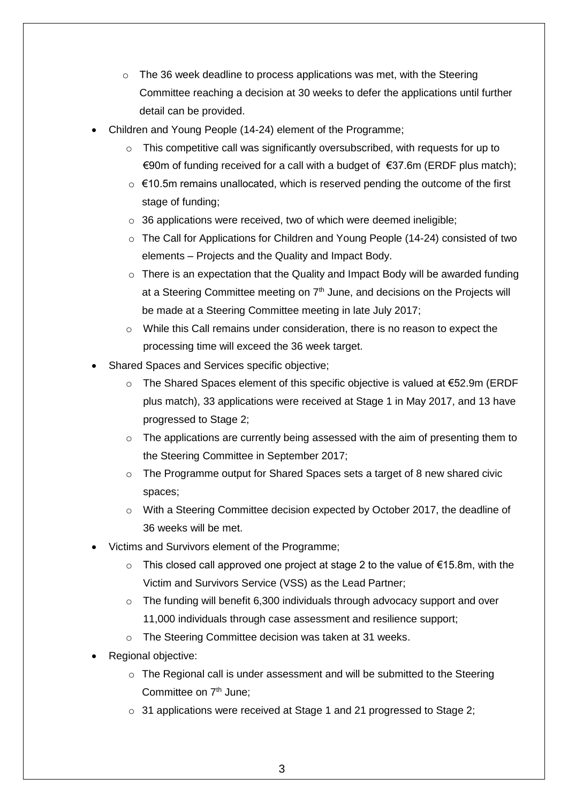- $\circ$  The 36 week deadline to process applications was met, with the Steering Committee reaching a decision at 30 weeks to defer the applications until further detail can be provided.
- Children and Young People (14-24) element of the Programme;
	- $\circ$  This competitive call was significantly oversubscribed, with requests for up to €90m of funding received for a call with a budget of  $€37.6$ m (ERDF plus match);
	- $\circ$   $\in$  10.5m remains unallocated, which is reserved pending the outcome of the first stage of funding;
	- $\circ$  36 applications were received, two of which were deemed ineligible;
	- o The Call for Applications for Children and Young People (14-24) consisted of two elements – Projects and the Quality and Impact Body.
	- $\circ$  There is an expectation that the Quality and Impact Body will be awarded funding at a Steering Committee meeting on  $7<sup>th</sup>$  June, and decisions on the Projects will be made at a Steering Committee meeting in late July 2017;
	- $\circ$  While this Call remains under consideration, there is no reason to expect the processing time will exceed the 36 week target.
- Shared Spaces and Services specific objective;
	- o The Shared Spaces element of this specific objective is valued at €52.9m (ERDF plus match), 33 applications were received at Stage 1 in May 2017, and 13 have progressed to Stage 2;
	- $\circ$  The applications are currently being assessed with the aim of presenting them to the Steering Committee in September 2017;
	- $\circ$  The Programme output for Shared Spaces sets a target of 8 new shared civic spaces;
	- $\circ$  With a Steering Committee decision expected by October 2017, the deadline of 36 weeks will be met.
- Victims and Survivors element of the Programme;
	- o This closed call approved one project at stage 2 to the value of €15.8m, with the Victim and Survivors Service (VSS) as the Lead Partner;
	- $\circ$  The funding will benefit 6,300 individuals through advocacy support and over 11,000 individuals through case assessment and resilience support;
	- o The Steering Committee decision was taken at 31 weeks.
- Regional objective:
	- $\circ$  The Regional call is under assessment and will be submitted to the Steering Committee on 7<sup>th</sup> June:
	- o 31 applications were received at Stage 1 and 21 progressed to Stage 2;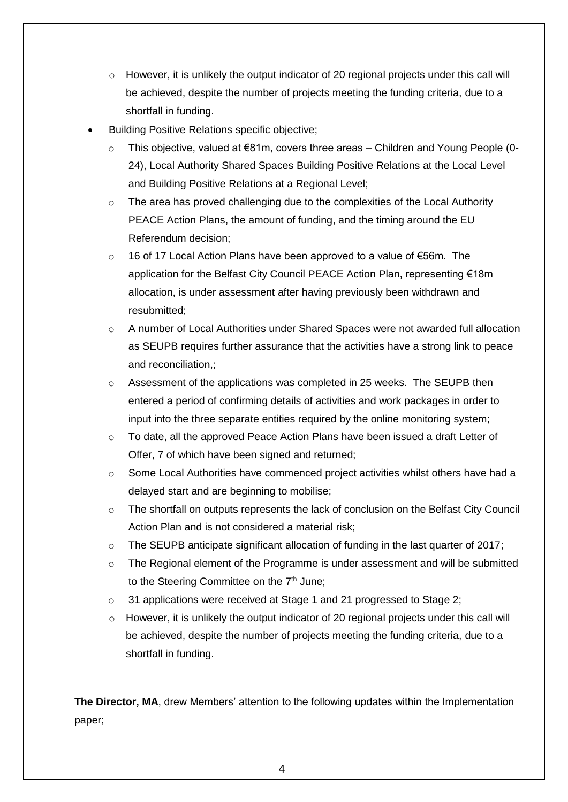- $\circ$  However, it is unlikely the output indicator of 20 regional projects under this call will be achieved, despite the number of projects meeting the funding criteria, due to a shortfall in funding.
- Building Positive Relations specific objective;
	- o This objective, valued at €81m, covers three areas Children and Young People (0- 24), Local Authority Shared Spaces Building Positive Relations at the Local Level and Building Positive Relations at a Regional Level;
	- o The area has proved challenging due to the complexities of the Local Authority PEACE Action Plans, the amount of funding, and the timing around the EU Referendum decision;
	- o 16 of 17 Local Action Plans have been approved to a value of €56m. The application for the Belfast City Council PEACE Action Plan, representing €18m allocation, is under assessment after having previously been withdrawn and resubmitted;
	- $\circ$  A number of Local Authorities under Shared Spaces were not awarded full allocation as SEUPB requires further assurance that the activities have a strong link to peace and reconciliation,;
	- $\circ$  Assessment of the applications was completed in 25 weeks. The SEUPB then entered a period of confirming details of activities and work packages in order to input into the three separate entities required by the online monitoring system;
	- o To date, all the approved Peace Action Plans have been issued a draft Letter of Offer, 7 of which have been signed and returned;
	- o Some Local Authorities have commenced project activities whilst others have had a delayed start and are beginning to mobilise;
	- o The shortfall on outputs represents the lack of conclusion on the Belfast City Council Action Plan and is not considered a material risk;
	- $\circ$  The SEUPB anticipate significant allocation of funding in the last quarter of 2017;
	- $\circ$  The Regional element of the Programme is under assessment and will be submitted to the Steering Committee on the 7<sup>th</sup> June;
	- o 31 applications were received at Stage 1 and 21 progressed to Stage 2;
	- o However, it is unlikely the output indicator of 20 regional projects under this call will be achieved, despite the number of projects meeting the funding criteria, due to a shortfall in funding.

**The Director, MA**, drew Members' attention to the following updates within the Implementation paper;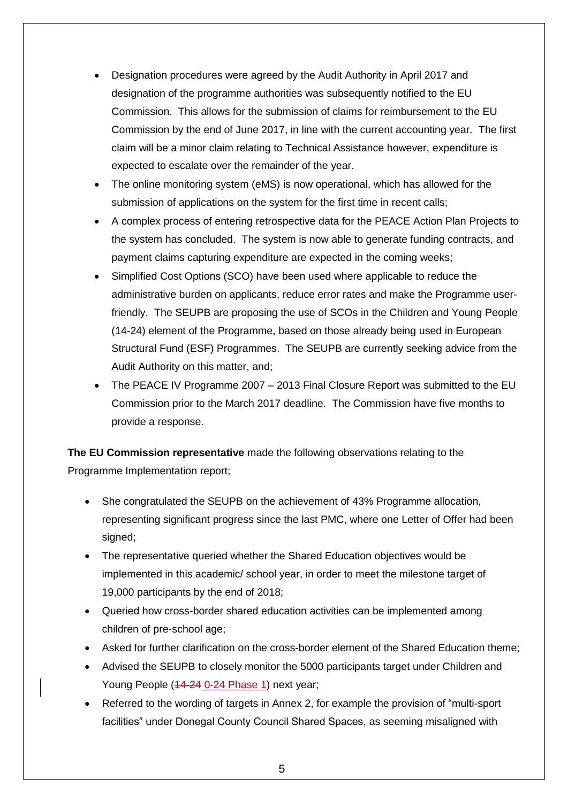- Designation procedures were agreed by the Audit Authority in April 2017 and designation of the programme authorities was subsequently notified to the EU Commission. This allows for the submission of claims for reimbursement to the EU Commission by the end of June 2017, in line with the current accounting year. The first claim will be a minor claim relating to Technical Assistance however, expenditure is expected to escalate over the remainder of the year.
- The online monitoring system (eMS) is now operational, which has allowed for the submission of applications on the system for the first time in recent calls;
- A complex process of entering retrospective data for the PEACE Action Plan Projects to the system has concluded. The system is now able to generate funding contracts, and payment claims capturing expenditure are expected in the coming weeks;
- Simplified Cost Options (SCO) have been used where applicable to reduce the administrative burden on applicants, reduce error rates and make the Programme userfriendly. The SEUPB are proposing the use of SCOs in the Children and Young People (14-24) element of the Programme, based on those already being used in European Structural Fund (ESF) Programmes. The SEUPB are currently seeking advice from the Audit Authority on this matter, and;
- The PEACE IV Programme 2007 2013 Final Closure Report was submitted to the EU Commission prior to the March 2017 deadline. The Commission have five months to provide a response.

**The EU Commission representative** made the following observations relating to the Programme Implementation report;

- She congratulated the SEUPB on the achievement of 43% Programme allocation, representing significant progress since the last PMC, where one Letter of Offer had been signed;
- The representative queried whether the Shared Education objectives would be implemented in this academic/ school year, in order to meet the milestone target of 19,000 participants by the end of 2018;
- Queried how cross-border shared education activities can be implemented among children of pre-school age;
- Asked for further clarification on the cross-border element of the Shared Education theme;
- Advised the SEUPB to closely monitor the 5000 participants target under Children and Young People (44-24 0-24 Phase 1) next year;
- Referred to the wording of targets in Annex 2, for example the provision of "multi-sport facilities" under Donegal County Council Shared Spaces, as seeming misaligned with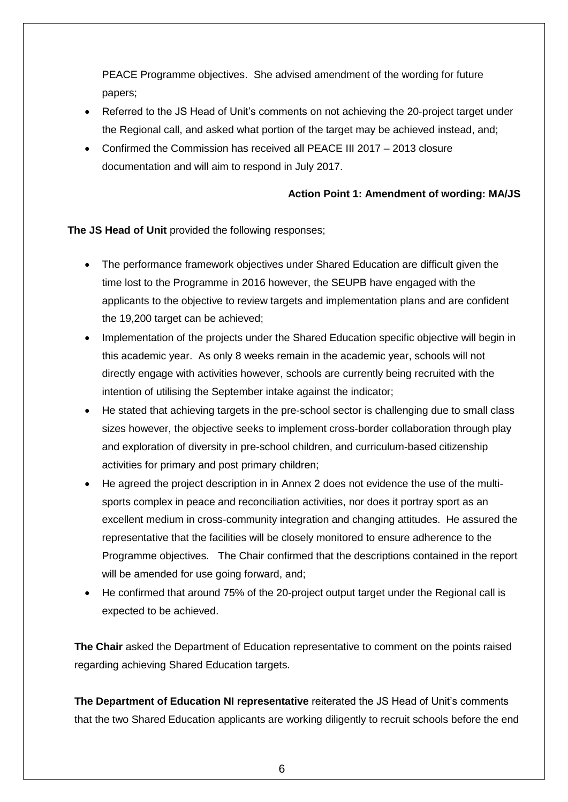PEACE Programme objectives. She advised amendment of the wording for future papers;

- Referred to the JS Head of Unit's comments on not achieving the 20-project target under the Regional call, and asked what portion of the target may be achieved instead, and;
- Confirmed the Commission has received all PEACE III 2017 2013 closure documentation and will aim to respond in July 2017.

#### **Action Point 1: Amendment of wording: MA/JS**

**The JS Head of Unit** provided the following responses;

- The performance framework objectives under Shared Education are difficult given the time lost to the Programme in 2016 however, the SEUPB have engaged with the applicants to the objective to review targets and implementation plans and are confident the 19,200 target can be achieved;
- Implementation of the projects under the Shared Education specific objective will begin in this academic year. As only 8 weeks remain in the academic year, schools will not directly engage with activities however, schools are currently being recruited with the intention of utilising the September intake against the indicator;
- He stated that achieving targets in the pre-school sector is challenging due to small class sizes however, the objective seeks to implement cross-border collaboration through play and exploration of diversity in pre-school children, and curriculum-based citizenship activities for primary and post primary children;
- He agreed the project description in in Annex 2 does not evidence the use of the multisports complex in peace and reconciliation activities, nor does it portray sport as an excellent medium in cross-community integration and changing attitudes. He assured the representative that the facilities will be closely monitored to ensure adherence to the Programme objectives. The Chair confirmed that the descriptions contained in the report will be amended for use going forward, and;
- He confirmed that around 75% of the 20-project output target under the Regional call is expected to be achieved.

**The Chair** asked the Department of Education representative to comment on the points raised regarding achieving Shared Education targets.

**The Department of Education NI representative** reiterated the JS Head of Unit's comments that the two Shared Education applicants are working diligently to recruit schools before the end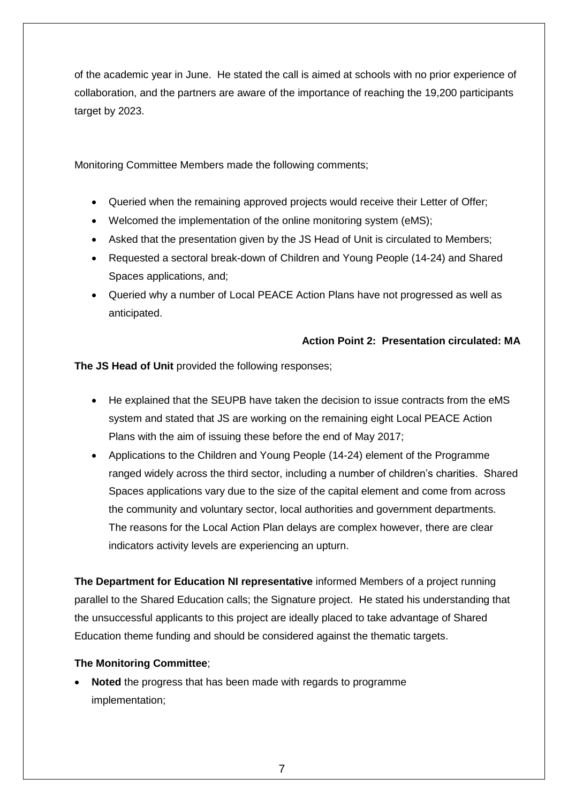of the academic year in June. He stated the call is aimed at schools with no prior experience of collaboration, and the partners are aware of the importance of reaching the 19,200 participants target by 2023.

Monitoring Committee Members made the following comments;

- Queried when the remaining approved projects would receive their Letter of Offer;
- Welcomed the implementation of the online monitoring system (eMS);
- Asked that the presentation given by the JS Head of Unit is circulated to Members;
- Requested a sectoral break-down of Children and Young People (14-24) and Shared Spaces applications, and;
- Queried why a number of Local PEACE Action Plans have not progressed as well as anticipated.

#### **Action Point 2: Presentation circulated: MA**

**The JS Head of Unit** provided the following responses;

- He explained that the SEUPB have taken the decision to issue contracts from the eMS system and stated that JS are working on the remaining eight Local PEACE Action Plans with the aim of issuing these before the end of May 2017;
- Applications to the Children and Young People (14-24) element of the Programme ranged widely across the third sector, including a number of children's charities. Shared Spaces applications vary due to the size of the capital element and come from across the community and voluntary sector, local authorities and government departments. The reasons for the Local Action Plan delays are complex however, there are clear indicators activity levels are experiencing an upturn.

**The Department for Education NI representative** informed Members of a project running parallel to the Shared Education calls; the Signature project. He stated his understanding that the unsuccessful applicants to this project are ideally placed to take advantage of Shared Education theme funding and should be considered against the thematic targets.

#### **The Monitoring Committee**;

 **Noted** the progress that has been made with regards to programme implementation;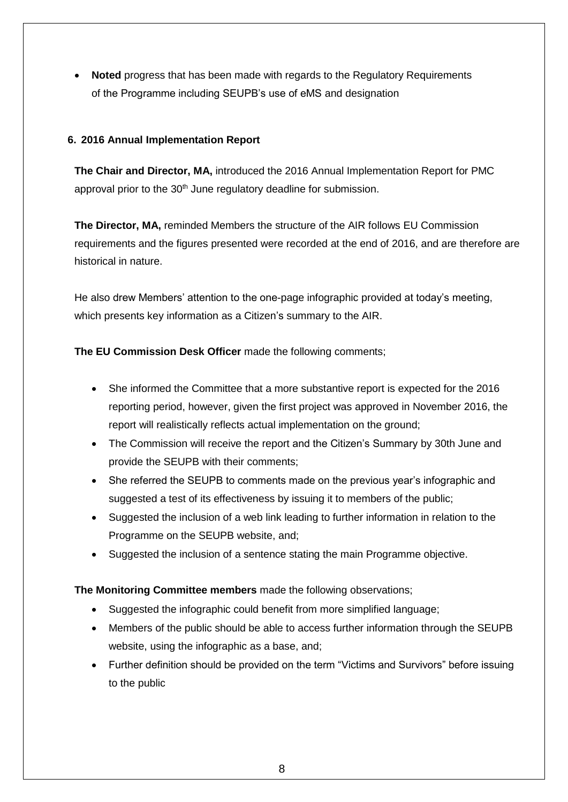**Noted** progress that has been made with regards to the Regulatory Requirements of the Programme including SEUPB's use of eMS and designation

#### **6. 2016 Annual Implementation Report**

**The Chair and Director, MA,** introduced the 2016 Annual Implementation Report for PMC approval prior to the 30<sup>th</sup> June regulatory deadline for submission.

**The Director, MA,** reminded Members the structure of the AIR follows EU Commission requirements and the figures presented were recorded at the end of 2016, and are therefore are historical in nature.

He also drew Members' attention to the one-page infographic provided at today's meeting, which presents key information as a Citizen's summary to the AIR.

**The EU Commission Desk Officer** made the following comments;

- She informed the Committee that a more substantive report is expected for the 2016 reporting period, however, given the first project was approved in November 2016, the report will realistically reflects actual implementation on the ground;
- The Commission will receive the report and the Citizen's Summary by 30th June and provide the SEUPB with their comments;
- She referred the SEUPB to comments made on the previous year's infographic and suggested a test of its effectiveness by issuing it to members of the public;
- Suggested the inclusion of a web link leading to further information in relation to the Programme on the SEUPB website, and;
- Suggested the inclusion of a sentence stating the main Programme objective.

**The Monitoring Committee members** made the following observations;

- Suggested the infographic could benefit from more simplified language;
- Members of the public should be able to access further information through the SEUPB website, using the infographic as a base, and;
- Further definition should be provided on the term "Victims and Survivors" before issuing to the public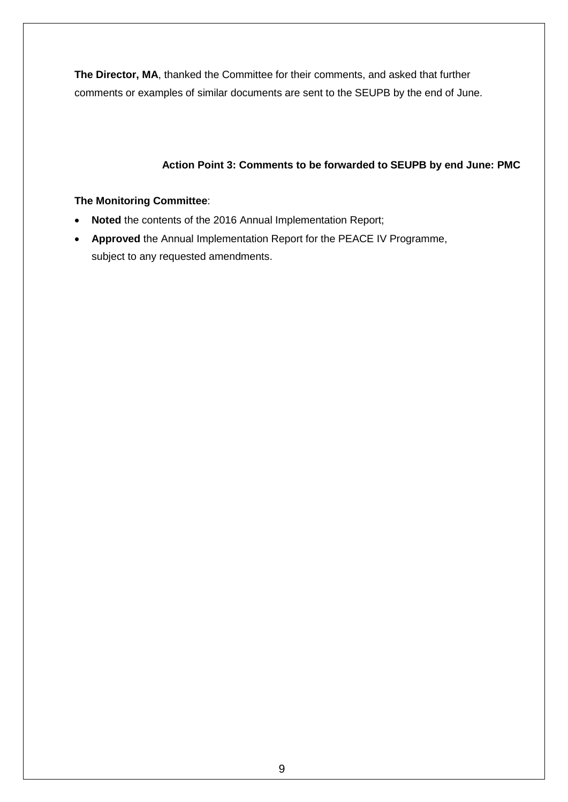**The Director, MA**, thanked the Committee for their comments, and asked that further comments or examples of similar documents are sent to the SEUPB by the end of June.

### **Action Point 3: Comments to be forwarded to SEUPB by end June: PMC**

#### **The Monitoring Committee**:

- **Noted** the contents of the 2016 Annual Implementation Report;
- **Approved** the Annual Implementation Report for the PEACE IV Programme, subject to any requested amendments.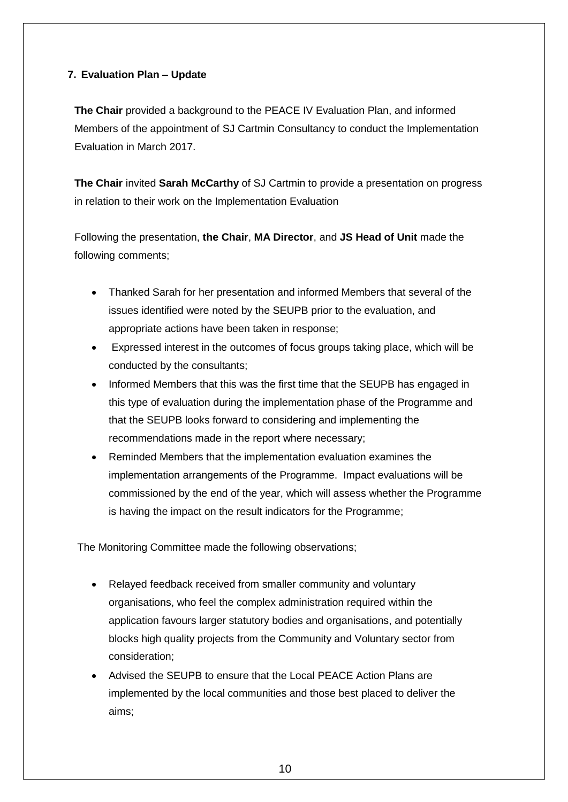#### **7. Evaluation Plan – Update**

**The Chair** provided a background to the PEACE IV Evaluation Plan, and informed Members of the appointment of SJ Cartmin Consultancy to conduct the Implementation Evaluation in March 2017.

**The Chair** invited **Sarah McCarthy** of SJ Cartmin to provide a presentation on progress in relation to their work on the Implementation Evaluation

Following the presentation, **the Chair**, **MA Director**, and **JS Head of Unit** made the following comments;

- Thanked Sarah for her presentation and informed Members that several of the issues identified were noted by the SEUPB prior to the evaluation, and appropriate actions have been taken in response;
- Expressed interest in the outcomes of focus groups taking place, which will be conducted by the consultants;
- Informed Members that this was the first time that the SEUPB has engaged in this type of evaluation during the implementation phase of the Programme and that the SEUPB looks forward to considering and implementing the recommendations made in the report where necessary;
- Reminded Members that the implementation evaluation examines the implementation arrangements of the Programme. Impact evaluations will be commissioned by the end of the year, which will assess whether the Programme is having the impact on the result indicators for the Programme;

The Monitoring Committee made the following observations;

- Relayed feedback received from smaller community and voluntary organisations, who feel the complex administration required within the application favours larger statutory bodies and organisations, and potentially blocks high quality projects from the Community and Voluntary sector from consideration;
- Advised the SEUPB to ensure that the Local PEACE Action Plans are implemented by the local communities and those best placed to deliver the aims;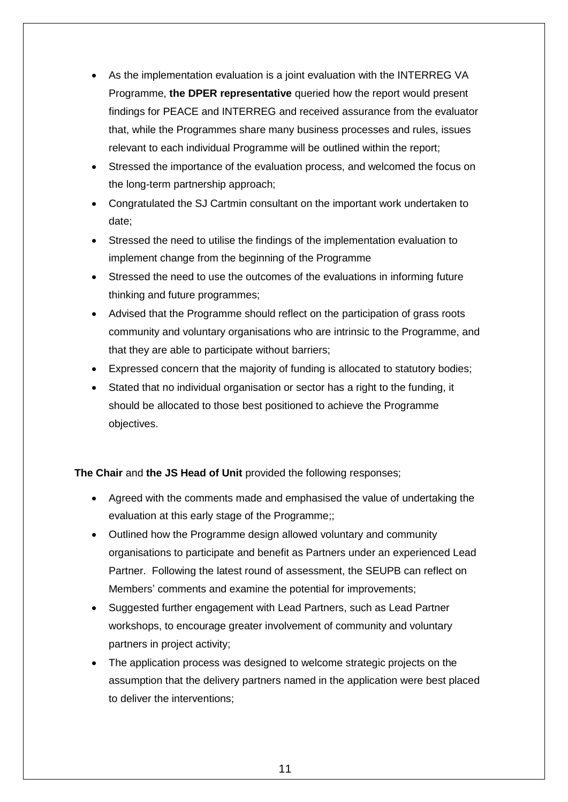- As the implementation evaluation is a joint evaluation with the INTERREG VA Programme, **the DPER representative** queried how the report would present findings for PEACE and INTERREG and received assurance from the evaluator that, while the Programmes share many business processes and rules, issues relevant to each individual Programme will be outlined within the report;
- Stressed the importance of the evaluation process, and welcomed the focus on the long-term partnership approach;
- Congratulated the SJ Cartmin consultant on the important work undertaken to date;
- Stressed the need to utilise the findings of the implementation evaluation to implement change from the beginning of the Programme
- Stressed the need to use the outcomes of the evaluations in informing future thinking and future programmes;
- Advised that the Programme should reflect on the participation of grass roots community and voluntary organisations who are intrinsic to the Programme, and that they are able to participate without barriers;
- Expressed concern that the majority of funding is allocated to statutory bodies;
- Stated that no individual organisation or sector has a right to the funding, it should be allocated to those best positioned to achieve the Programme objectives.

**The Chair** and **the JS Head of Unit** provided the following responses;

- Agreed with the comments made and emphasised the value of undertaking the evaluation at this early stage of the Programme;;
- Outlined how the Programme design allowed voluntary and community organisations to participate and benefit as Partners under an experienced Lead Partner. Following the latest round of assessment, the SEUPB can reflect on Members' comments and examine the potential for improvements;
- Suggested further engagement with Lead Partners, such as Lead Partner workshops, to encourage greater involvement of community and voluntary partners in project activity;
- The application process was designed to welcome strategic projects on the assumption that the delivery partners named in the application were best placed to deliver the interventions;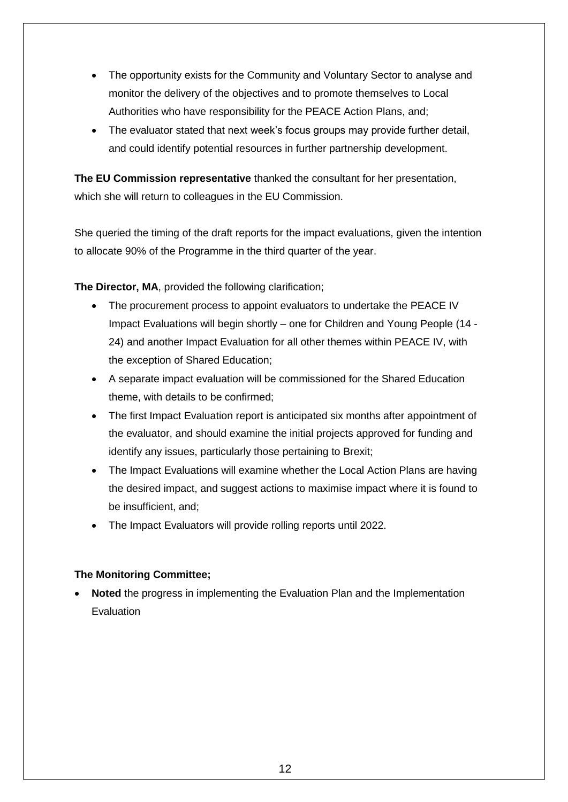- The opportunity exists for the Community and Voluntary Sector to analyse and monitor the delivery of the objectives and to promote themselves to Local Authorities who have responsibility for the PEACE Action Plans, and;
- The evaluator stated that next week's focus groups may provide further detail, and could identify potential resources in further partnership development.

**The EU Commission representative** thanked the consultant for her presentation, which she will return to colleagues in the EU Commission.

She queried the timing of the draft reports for the impact evaluations, given the intention to allocate 90% of the Programme in the third quarter of the year.

**The Director, MA**, provided the following clarification;

- The procurement process to appoint evaluators to undertake the PEACE IV Impact Evaluations will begin shortly – one for Children and Young People (14 - 24) and another Impact Evaluation for all other themes within PEACE IV, with the exception of Shared Education;
- A separate impact evaluation will be commissioned for the Shared Education theme, with details to be confirmed;
- The first Impact Evaluation report is anticipated six months after appointment of the evaluator, and should examine the initial projects approved for funding and identify any issues, particularly those pertaining to Brexit;
- The Impact Evaluations will examine whether the Local Action Plans are having the desired impact, and suggest actions to maximise impact where it is found to be insufficient, and;
- The Impact Evaluators will provide rolling reports until 2022.

#### **The Monitoring Committee;**

 **Noted** the progress in implementing the Evaluation Plan and the Implementation Evaluation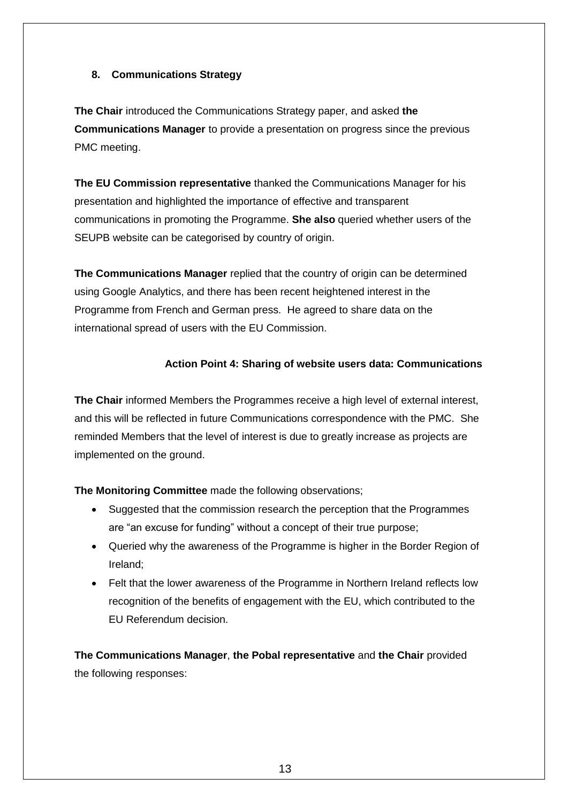#### **8. Communications Strategy**

**The Chair** introduced the Communications Strategy paper, and asked **the Communications Manager** to provide a presentation on progress since the previous PMC meeting.

**The EU Commission representative** thanked the Communications Manager for his presentation and highlighted the importance of effective and transparent communications in promoting the Programme. **She also** queried whether users of the SEUPB website can be categorised by country of origin.

**The Communications Manager** replied that the country of origin can be determined using Google Analytics, and there has been recent heightened interest in the Programme from French and German press. He agreed to share data on the international spread of users with the EU Commission.

#### **Action Point 4: Sharing of website users data: Communications**

**The Chair** informed Members the Programmes receive a high level of external interest, and this will be reflected in future Communications correspondence with the PMC. She reminded Members that the level of interest is due to greatly increase as projects are implemented on the ground.

**The Monitoring Committee** made the following observations;

- Suggested that the commission research the perception that the Programmes are "an excuse for funding" without a concept of their true purpose;
- Queried why the awareness of the Programme is higher in the Border Region of Ireland;
- Felt that the lower awareness of the Programme in Northern Ireland reflects low recognition of the benefits of engagement with the EU, which contributed to the EU Referendum decision.

**The Communications Manager**, **the Pobal representative** and **the Chair** provided the following responses: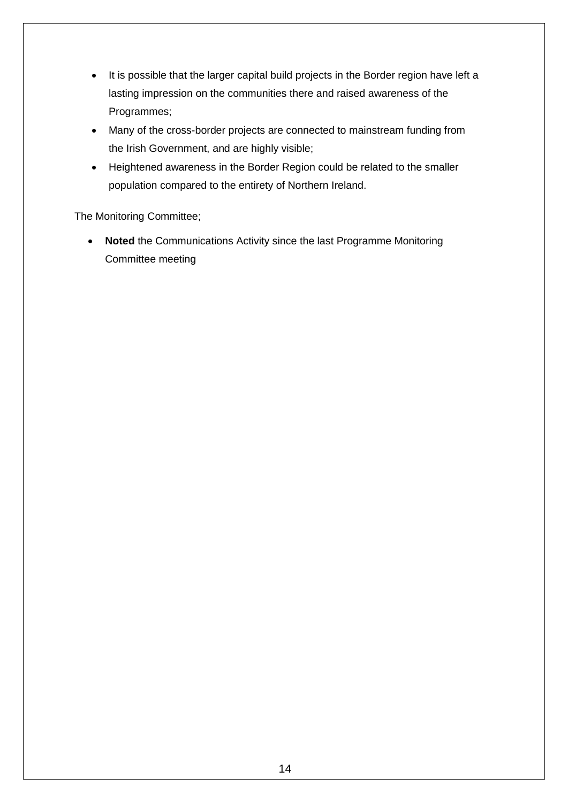- It is possible that the larger capital build projects in the Border region have left a lasting impression on the communities there and raised awareness of the Programmes;
- Many of the cross-border projects are connected to mainstream funding from the Irish Government, and are highly visible;
- Heightened awareness in the Border Region could be related to the smaller population compared to the entirety of Northern Ireland.

The Monitoring Committee;

 **Noted** the Communications Activity since the last Programme Monitoring Committee meeting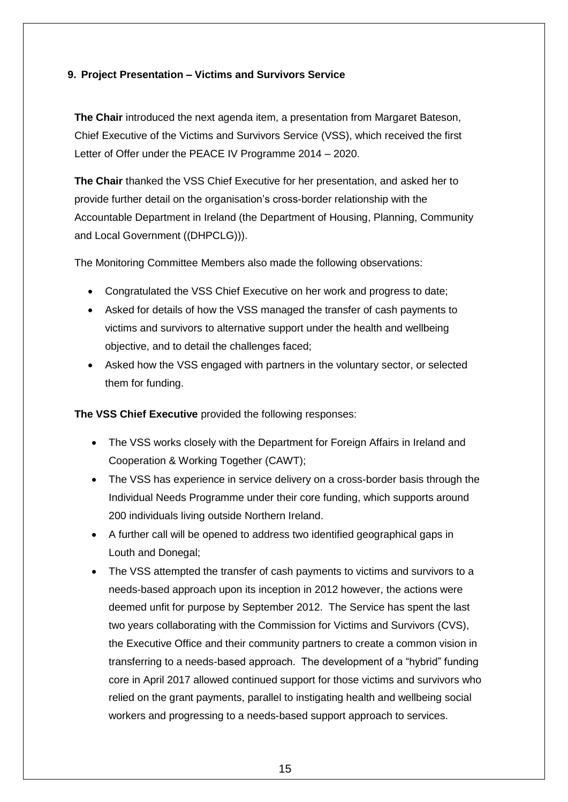#### **9. Project Presentation – Victims and Survivors Service**

**The Chair** introduced the next agenda item, a presentation from Margaret Bateson, Chief Executive of the Victims and Survivors Service (VSS), which received the first Letter of Offer under the PEACE IV Programme 2014 – 2020.

**The Chair** thanked the VSS Chief Executive for her presentation, and asked her to provide further detail on the organisation's cross-border relationship with the Accountable Department in Ireland (the Department of Housing, Planning, Community and Local Government ((DHPCLG))).

The Monitoring Committee Members also made the following observations:

- Congratulated the VSS Chief Executive on her work and progress to date;
- Asked for details of how the VSS managed the transfer of cash payments to victims and survivors to alternative support under the health and wellbeing objective, and to detail the challenges faced;
- Asked how the VSS engaged with partners in the voluntary sector, or selected them for funding.

**The VSS Chief Executive** provided the following responses:

- The VSS works closely with the Department for Foreign Affairs in Ireland and Cooperation & Working Together (CAWT);
- The VSS has experience in service delivery on a cross-border basis through the Individual Needs Programme under their core funding, which supports around 200 individuals living outside Northern Ireland.
- A further call will be opened to address two identified geographical gaps in Louth and Donegal;
- The VSS attempted the transfer of cash payments to victims and survivors to a needs-based approach upon its inception in 2012 however, the actions were deemed unfit for purpose by September 2012. The Service has spent the last two years collaborating with the Commission for Victims and Survivors (CVS), the Executive Office and their community partners to create a common vision in transferring to a needs-based approach. The development of a "hybrid" funding core in April 2017 allowed continued support for those victims and survivors who relied on the grant payments, parallel to instigating health and wellbeing social workers and progressing to a needs-based support approach to services.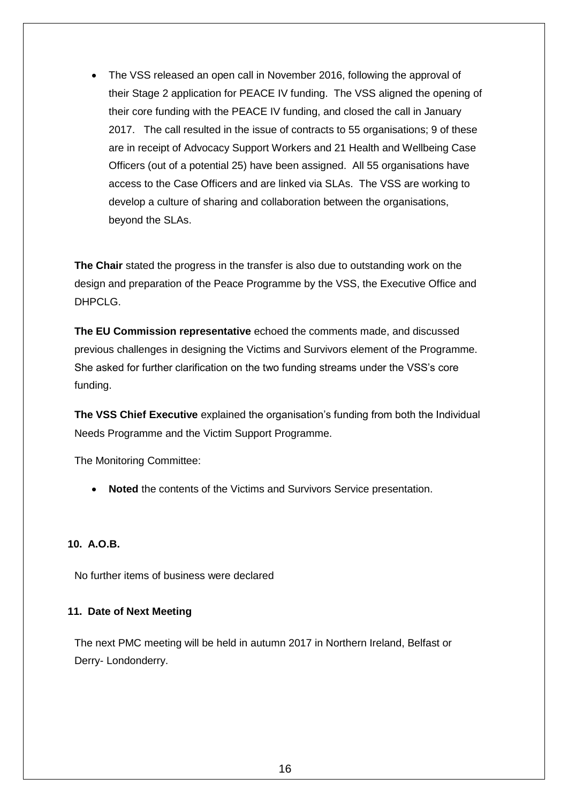The VSS released an open call in November 2016, following the approval of their Stage 2 application for PEACE IV funding. The VSS aligned the opening of their core funding with the PEACE IV funding, and closed the call in January 2017. The call resulted in the issue of contracts to 55 organisations; 9 of these are in receipt of Advocacy Support Workers and 21 Health and Wellbeing Case Officers (out of a potential 25) have been assigned. All 55 organisations have access to the Case Officers and are linked via SLAs. The VSS are working to develop a culture of sharing and collaboration between the organisations, beyond the SLAs.

**The Chair** stated the progress in the transfer is also due to outstanding work on the design and preparation of the Peace Programme by the VSS, the Executive Office and DHPCL<sub>G</sub>

**The EU Commission representative** echoed the comments made, and discussed previous challenges in designing the Victims and Survivors element of the Programme. She asked for further clarification on the two funding streams under the VSS's core funding.

**The VSS Chief Executive** explained the organisation's funding from both the Individual Needs Programme and the Victim Support Programme.

The Monitoring Committee:

**Noted** the contents of the Victims and Survivors Service presentation.

#### **10. A.O.B.**

No further items of business were declared

#### **11. Date of Next Meeting**

The next PMC meeting will be held in autumn 2017 in Northern Ireland, Belfast or Derry- Londonderry.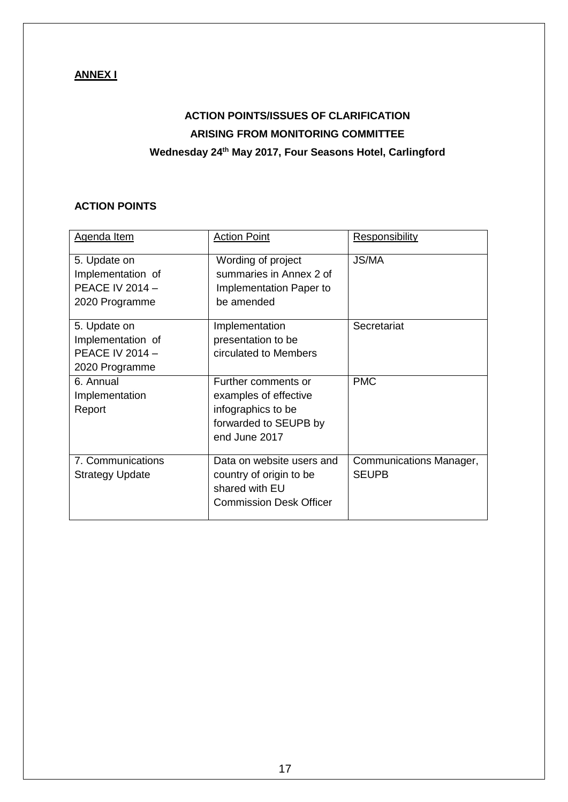## **ANNEX I**

# **ACTION POINTS/ISSUES OF CLARIFICATION ARISING FROM MONITORING COMMITTEE Wednesday 24th May 2017, Four Seasons Hotel, Carlingford**

### **ACTION POINTS**

| Agenda Item            | <b>Action Point</b>            | <b>Responsibility</b>   |
|------------------------|--------------------------------|-------------------------|
| 5. Update on           | Wording of project             | <b>JS/MA</b>            |
| Implementation of      | summaries in Annex 2 of        |                         |
| <b>PEACE IV 2014 -</b> | Implementation Paper to        |                         |
| 2020 Programme         | be amended                     |                         |
| 5. Update on           | Implementation                 | Secretariat             |
| Implementation of      | presentation to be             |                         |
| <b>PEACE IV 2014 -</b> | circulated to Members          |                         |
| 2020 Programme         |                                |                         |
| 6. Annual              | Further comments or            | <b>PMC</b>              |
| Implementation         | examples of effective          |                         |
| Report                 | infographics to be             |                         |
|                        | forwarded to SEUPB by          |                         |
|                        | end June 2017                  |                         |
| 7. Communications      | Data on website users and      | Communications Manager, |
| <b>Strategy Update</b> | country of origin to be        | <b>SEUPB</b>            |
|                        | shared with EU                 |                         |
|                        | <b>Commission Desk Officer</b> |                         |
|                        |                                |                         |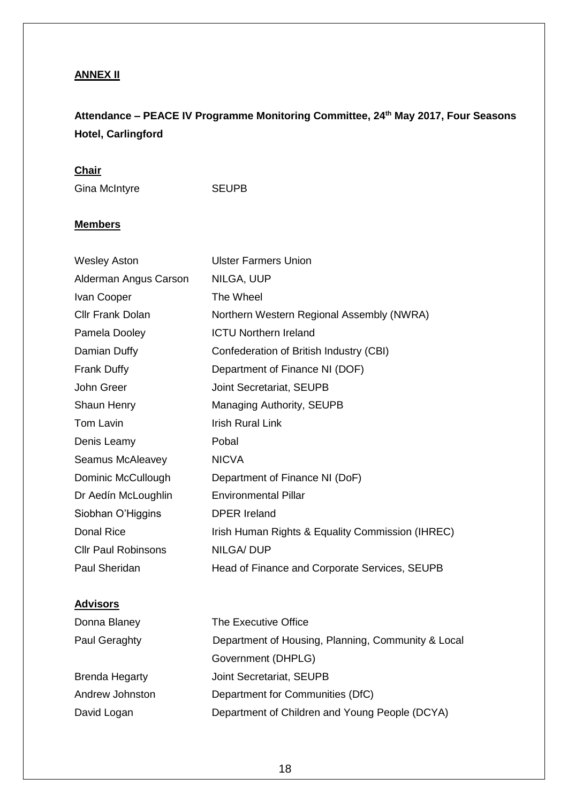## **ANNEX II**

# **Attendance – PEACE IV Programme Monitoring Committee, 24th May 2017, Four Seasons Hotel, Carlingford**

### **Chair**

Gina McIntyre SEUPB

### **Members**

| <b>Ulster Farmers Union</b>                      |
|--------------------------------------------------|
| NILGA, UUP                                       |
| The Wheel                                        |
| Northern Western Regional Assembly (NWRA)        |
| <b>ICTU Northern Ireland</b>                     |
| Confederation of British Industry (CBI)          |
| Department of Finance NI (DOF)                   |
| Joint Secretariat, SEUPB                         |
| Managing Authority, SEUPB                        |
| <b>Irish Rural Link</b>                          |
| Pobal                                            |
| <b>NICVA</b>                                     |
| Department of Finance NI (DoF)                   |
| <b>Environmental Pillar</b>                      |
| <b>DPER Ireland</b>                              |
| Irish Human Rights & Equality Commission (IHREC) |
| <b>NILGA/DUP</b>                                 |
| Head of Finance and Corporate Services, SEUPB    |
|                                                  |

## **Advisors**

| Donna Blaney    | The Executive Office                               |
|-----------------|----------------------------------------------------|
| Paul Geraghty   | Department of Housing, Planning, Community & Local |
|                 | Government (DHPLG)                                 |
| Brenda Hegarty  | Joint Secretariat, SEUPB                           |
| Andrew Johnston | Department for Communities (DfC)                   |
| David Logan     | Department of Children and Young People (DCYA)     |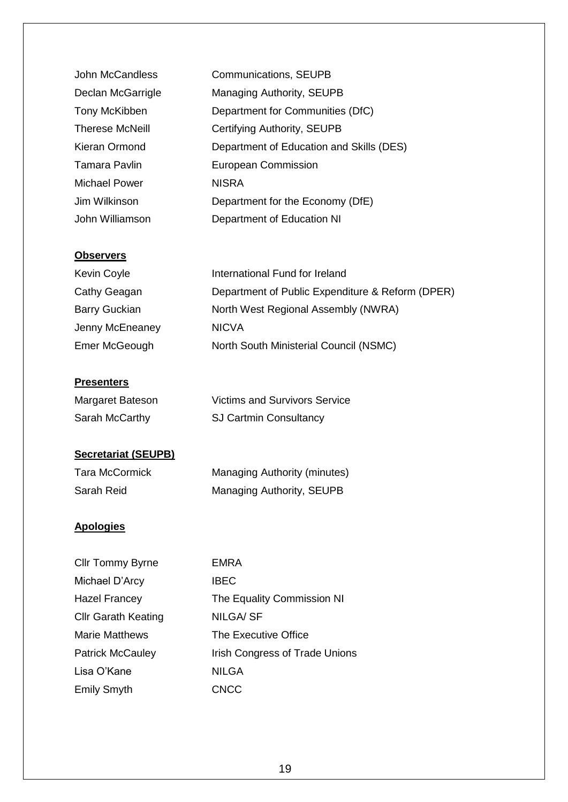| John McCandless        | <b>Communications, SEUPB</b>             |
|------------------------|------------------------------------------|
| Declan McGarrigle      | Managing Authority, SEUPB                |
| Tony McKibben          | Department for Communities (DfC)         |
| <b>Therese McNeill</b> | Certifying Authority, SEUPB              |
| Kieran Ormond          | Department of Education and Skills (DES) |
| <b>Tamara Pavlin</b>   | <b>European Commission</b>               |
| <b>Michael Power</b>   | <b>NISRA</b>                             |
| Jim Wilkinson          | Department for the Economy (DfE)         |
| John Williamson        | Department of Education NI               |

#### **Observers**

| Kevin Coyle          | International Fund for Ireland                   |
|----------------------|--------------------------------------------------|
| Cathy Geagan         | Department of Public Expenditure & Reform (DPER) |
| <b>Barry Guckian</b> | North West Regional Assembly (NWRA)              |
| Jenny McEneaney      | <b>NICVA</b>                                     |
| Emer McGeough        | North South Ministerial Council (NSMC)           |

### **Presenters**

| Margaret Bateson | <b>Victims and Survivors Service</b> |
|------------------|--------------------------------------|
| Sarah McCarthy   | <b>SJ Cartmin Consultancy</b>        |

## **Secretariat (SEUPB)**

| <b>Tara McCormick</b> | <b>Managing Authority (minutes)</b> |
|-----------------------|-------------------------------------|
| Sarah Reid            | <b>Managing Authority, SEUPB</b>    |

### **Apologies**

| <b>Cllr Tommy Byrne</b>    | EMRA                           |
|----------------------------|--------------------------------|
| Michael D'Arcy             | <b>IBEC</b>                    |
| <b>Hazel Francey</b>       | The Equality Commission NI     |
| <b>Cllr Garath Keating</b> | NILGA/ SF                      |
| <b>Marie Matthews</b>      | The Executive Office           |
| <b>Patrick McCauley</b>    | Irish Congress of Trade Unions |
| Lisa O'Kane                | <b>NILGA</b>                   |
| <b>Emily Smyth</b>         | <b>CNCC</b>                    |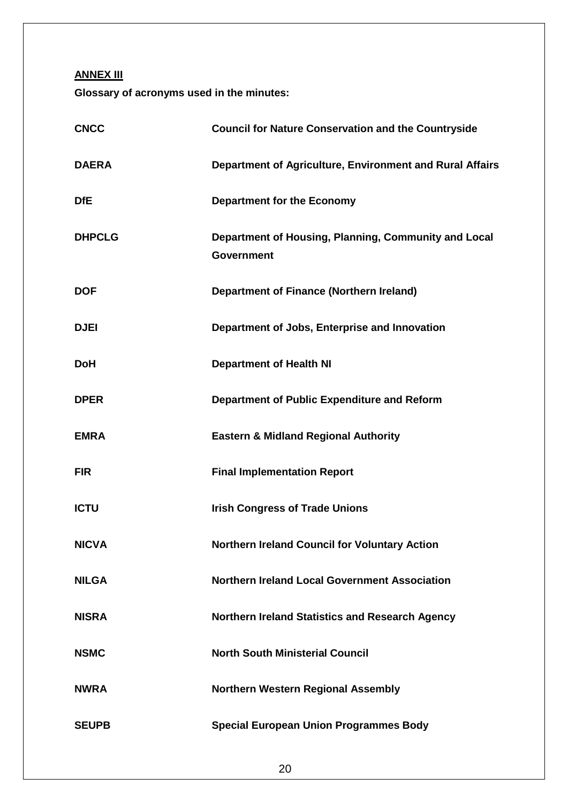**ANNEX III**

**Glossary of acronyms used in the minutes:**

| <b>CNCC</b>   | <b>Council for Nature Conservation and the Countryside</b>                |
|---------------|---------------------------------------------------------------------------|
| <b>DAERA</b>  | Department of Agriculture, Environment and Rural Affairs                  |
| <b>DfE</b>    | <b>Department for the Economy</b>                                         |
| <b>DHPCLG</b> | Department of Housing, Planning, Community and Local<br><b>Government</b> |
| <b>DOF</b>    | <b>Department of Finance (Northern Ireland)</b>                           |
| <b>DJEI</b>   | Department of Jobs, Enterprise and Innovation                             |
| <b>DoH</b>    | <b>Department of Health NI</b>                                            |
| <b>DPER</b>   | Department of Public Expenditure and Reform                               |
| <b>EMRA</b>   | <b>Eastern &amp; Midland Regional Authority</b>                           |
| <b>FIR</b>    | <b>Final Implementation Report</b>                                        |
| <b>ICTU</b>   | <b>Irish Congress of Trade Unions</b>                                     |
| <b>NICVA</b>  | <b>Northern Ireland Council for Voluntary Action</b>                      |
| <b>NILGA</b>  | <b>Northern Ireland Local Government Association</b>                      |
| <b>NISRA</b>  | Northern Ireland Statistics and Research Agency                           |
| <b>NSMC</b>   | <b>North South Ministerial Council</b>                                    |
| <b>NWRA</b>   | <b>Northern Western Regional Assembly</b>                                 |
| <b>SEUPB</b>  | <b>Special European Union Programmes Body</b>                             |